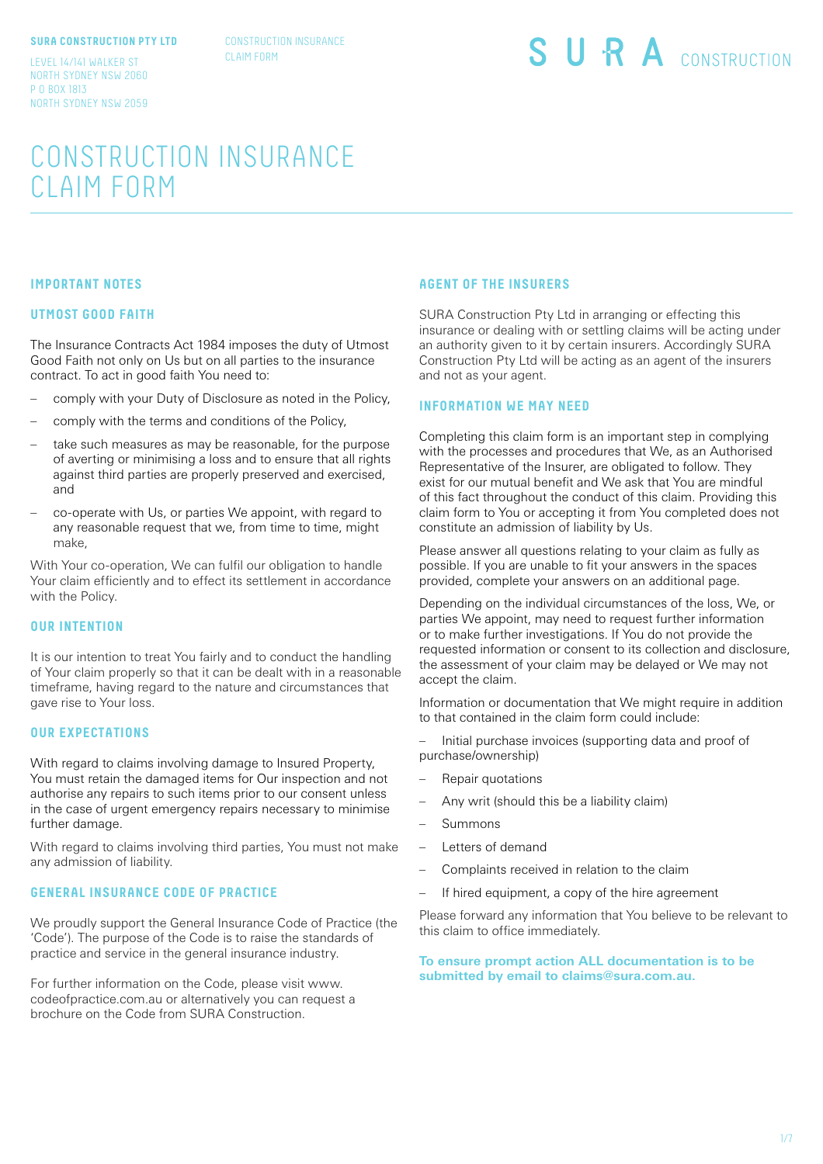#### **SURA CONSTRUCTION PTY LTD**

CONSTRUCTION INSURANCE CLAIM FORM

LEVEL 14/141 WALKER ST NORTH SYDNEY NSW 2060 P O BOX 1813 NORTH SYDNEY NSW 2059 SURA CONSTRUCTION

# CONSTRUCTION INSURANCE CLAIM FORM

#### **IMPORTANT NOTES**

#### **UTMOST GOOD FAITH**

The Insurance Contracts Act 1984 imposes the duty of Utmost Good Faith not only on Us but on all parties to the insurance contract. To act in good faith You need to:

- comply with your Duty of Disclosure as noted in the Policy,
- comply with the terms and conditions of the Policy,
- take such measures as may be reasonable, for the purpose of averting or minimising a loss and to ensure that all rights against third parties are properly preserved and exercised, and
- co-operate with Us, or parties We appoint, with regard to any reasonable request that we, from time to time, might make,

With Your co-operation, We can fulfil our obligation to handle Your claim efficiently and to effect its settlement in accordance with the Policy.

# **OUR INTENTION**

It is our intention to treat You fairly and to conduct the handling of Your claim properly so that it can be dealt with in a reasonable timeframe, having regard to the nature and circumstances that gave rise to Your loss.

#### **OUR EXPECTATIONS**

With regard to claims involving damage to Insured Property, You must retain the damaged items for Our inspection and not authorise any repairs to such items prior to our consent unless in the case of urgent emergency repairs necessary to minimise further damage.

With regard to claims involving third parties, You must not make any admission of liability.

#### **GENERAL INSURANCE CODE OF PRACTICE**

We proudly support the General Insurance Code of Practice (the 'Code'). The purpose of the Code is to raise the standards of practice and service in the general insurance industry.

For further information on the Code, please visit www. codeofpractice.com.au or alternatively you can request a brochure on the Code from SURA Construction.

#### **AGENT OF THE INSURERS**

SURA Construction Pty Ltd in arranging or effecting this insurance or dealing with or settling claims will be acting under an authority given to it by certain insurers. Accordingly SURA Construction Pty Ltd will be acting as an agent of the insurers and not as your agent.

## **INFORMATION WE MAY NEED**

Completing this claim form is an important step in complying with the processes and procedures that We, as an Authorised Representative of the Insurer, are obligated to follow. They exist for our mutual benefit and We ask that You are mindful of this fact throughout the conduct of this claim. Providing this claim form to You or accepting it from You completed does not constitute an admission of liability by Us.

Please answer all questions relating to your claim as fully as possible. If you are unable to fit your answers in the spaces provided, complete your answers on an additional page.

Depending on the individual circumstances of the loss, We, or parties We appoint, may need to request further information or to make further investigations. If You do not provide the requested information or consent to its collection and disclosure, the assessment of your claim may be delayed or We may not accept the claim.

Information or documentation that We might require in addition to that contained in the claim form could include:

- Initial purchase invoices (supporting data and proof of purchase/ownership)
- Repair quotations
- Any writ (should this be a liability claim)
- Summons
- Letters of demand
- Complaints received in relation to the claim
- If hired equipment, a copy of the hire agreement

Please forward any information that You believe to be relevant to this claim to office immediately.

**To ensure prompt action ALL documentation is to be submitted by email to claims@sura.com.au.**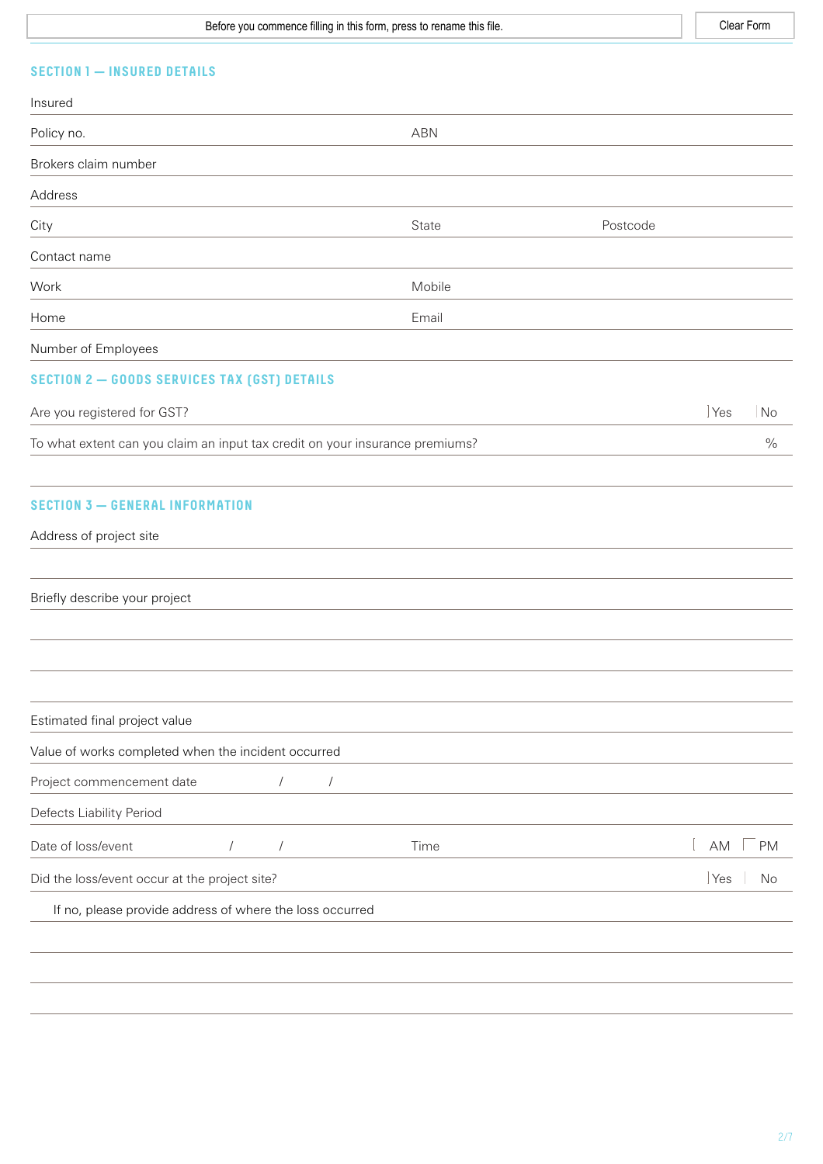Before you commence filling in this form, press to rename this file. The state of the Clear Form Clear Form

# **SECTION 1 — INSURED DETAILS**

| Insured                                                                      |            |            |          |                   |               |
|------------------------------------------------------------------------------|------------|------------|----------|-------------------|---------------|
| Policy no.                                                                   |            | <b>ABN</b> |          |                   |               |
| Brokers claim number                                                         |            |            |          |                   |               |
| Address                                                                      |            |            |          |                   |               |
| City                                                                         |            | State      | Postcode |                   |               |
| Contact name                                                                 |            |            |          |                   |               |
| Work                                                                         |            | Mobile     |          |                   |               |
| Home                                                                         |            | Email      |          |                   |               |
| Number of Employees                                                          |            |            |          |                   |               |
| <b>SECTION 2 - GOODS SERVICES TAX (GST) DETAILS</b>                          |            |            |          |                   |               |
| Are you registered for GST?                                                  |            |            |          | $ Y_{ES} $        | No            |
| To what extent can you claim an input tax credit on your insurance premiums? |            |            |          |                   | $\frac{0}{0}$ |
| <b>SECTION 3 - GENERAL INFORMATION</b><br>Address of project site            |            |            |          |                   |               |
| Briefly describe your project                                                |            |            |          |                   |               |
| Estimated final project value                                                |            |            |          |                   |               |
| Value of works completed when the incident occurred                          |            |            |          |                   |               |
| Project commencement date                                                    | $\sqrt{2}$ | $\sqrt{ }$ |          |                   |               |
| Defects Liability Period                                                     |            |            |          |                   |               |
| Date of loss/event                                                           | $\sqrt{2}$ | Time       |          | AM                | <b>PM</b>     |
|                                                                              | $\sqrt{2}$ |            |          |                   |               |
| Did the loss/event occur at the project site?                                |            |            |          | $ Y_{\text{es}} $ | No            |
| If no, please provide address of where the loss occurred                     |            |            |          |                   |               |
|                                                                              |            |            |          |                   |               |
|                                                                              |            |            |          |                   |               |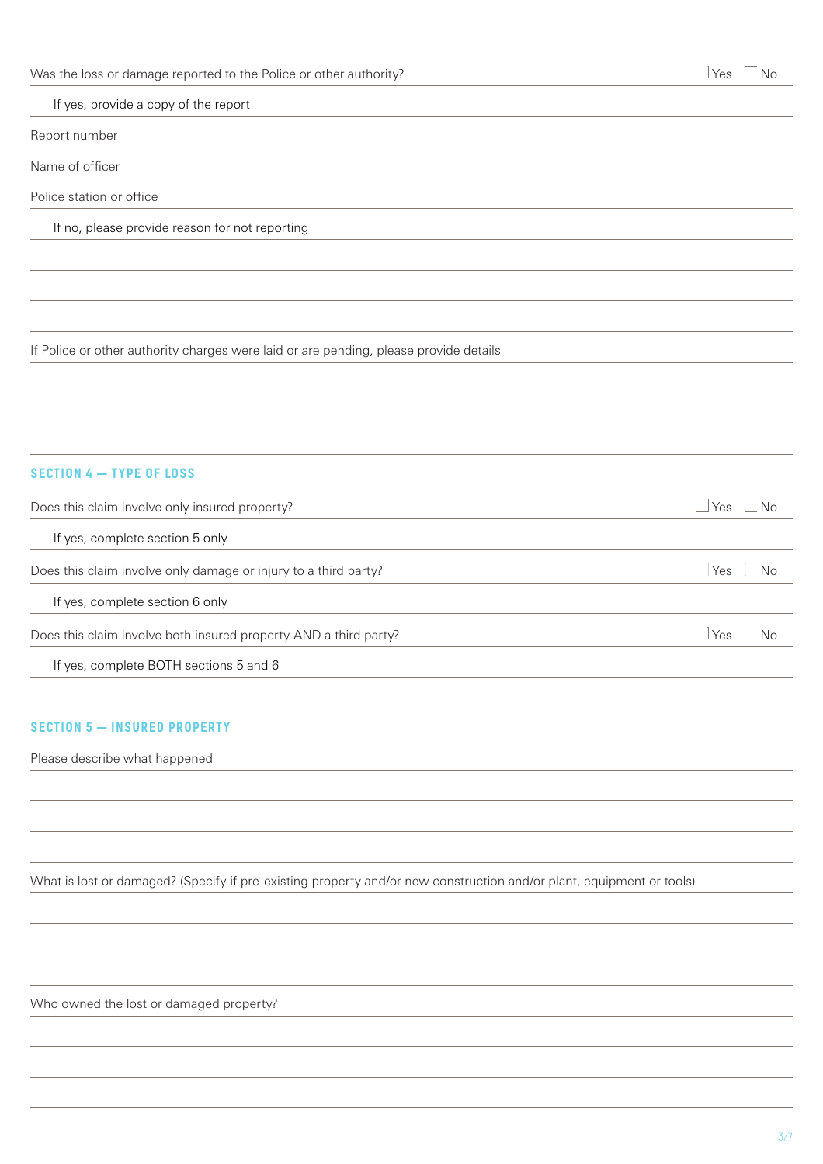Was the loss or damage reported to the Police or other authority? Ves Words and Most Constants are not all the No

If yes, provide a copy of the report

Report number

Name of officer

Police station or office

If no, please provide reason for not reporting

If Police or other authority charges were laid or are pending, please provide details

## **SECTION 4 — TYPE OF LOSS**

| Does this claim involve only insured property?                   | No<br>∣Yes |
|------------------------------------------------------------------|------------|
| If yes, complete section 5 only                                  |            |
| Does this claim involve only damage or injury to a third party?  | Yes.<br>N∩ |
| If yes, complete section 6 only                                  |            |
| Does this claim involve both insured property AND a third party? | Yes<br>No  |
| If yes, complete BOTH sections 5 and 6                           |            |

## **SECTION 5 — INSURED PROPERTY**

Please describe what happened

What is lost or damaged? (Specify if pre-existing property and/or new construction and/or plant, equipment or tools)

Who owned the lost or damaged property?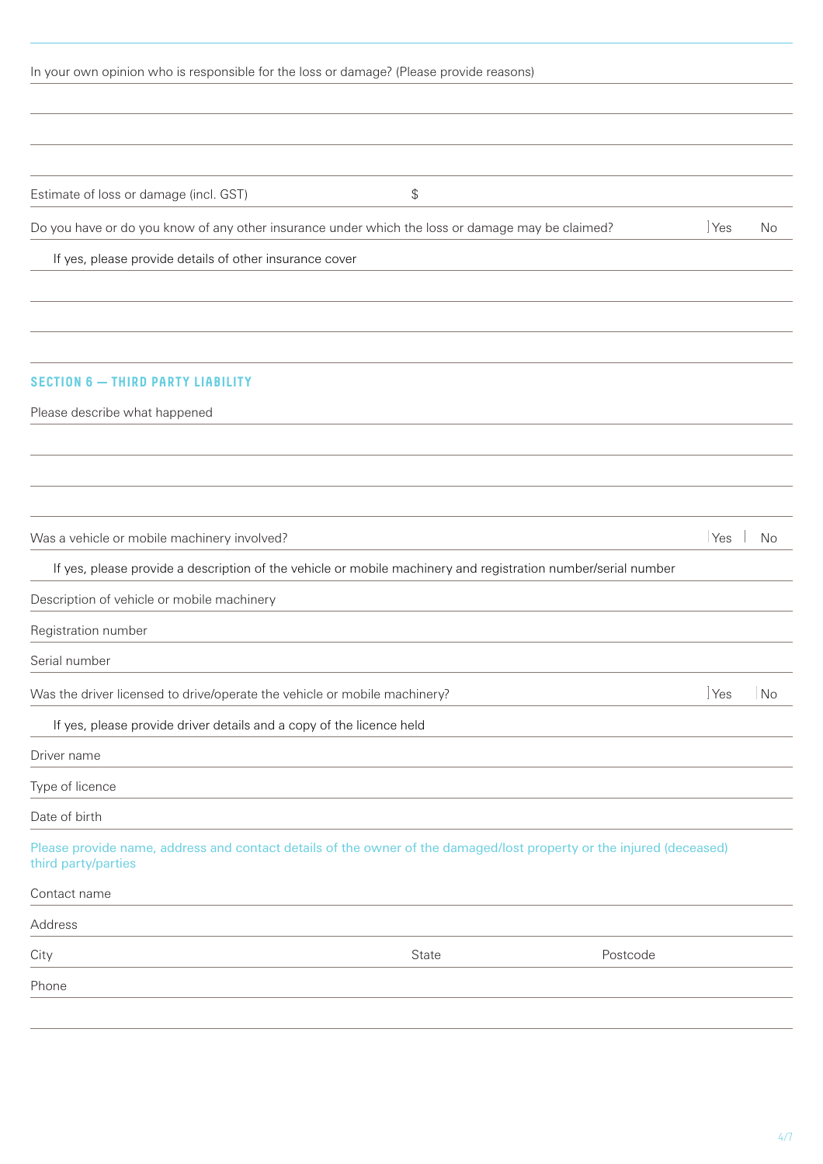| In your own opinion who is responsible for the loss or damage? (Please provide reasons)                                                     |       |                         |
|---------------------------------------------------------------------------------------------------------------------------------------------|-------|-------------------------|
|                                                                                                                                             |       |                         |
|                                                                                                                                             |       |                         |
|                                                                                                                                             |       |                         |
| Estimate of loss or damage (incl. GST)                                                                                                      | \$    |                         |
| Do you have or do you know of any other insurance under which the loss or damage may be claimed?                                            |       | <b>Yes</b><br><b>No</b> |
| If yes, please provide details of other insurance cover                                                                                     |       |                         |
|                                                                                                                                             |       |                         |
| <b>SECTION 6 - THIRD PARTY LIABILITY</b>                                                                                                    |       |                         |
| Please describe what happened                                                                                                               |       |                         |
|                                                                                                                                             |       |                         |
|                                                                                                                                             |       |                         |
|                                                                                                                                             |       |                         |
| Was a vehicle or mobile machinery involved?                                                                                                 |       | Yes<br><b>No</b>        |
| If yes, please provide a description of the vehicle or mobile machinery and registration number/serial number                               |       |                         |
| Description of vehicle or mobile machinery                                                                                                  |       |                         |
| Registration number                                                                                                                         |       |                         |
| Serial number                                                                                                                               |       |                         |
| Was the driver licensed to drive/operate the vehicle or mobile machinery?                                                                   |       | <b>Yes</b><br>No        |
| If yes, please provide driver details and a copy of the licence held                                                                        |       |                         |
| Driver name                                                                                                                                 |       |                         |
| Type of licence                                                                                                                             |       |                         |
| Date of birth                                                                                                                               |       |                         |
| Please provide name, address and contact details of the owner of the damaged/lost property or the injured (deceased)<br>third party/parties |       |                         |
| Contact name                                                                                                                                |       |                         |
| Address                                                                                                                                     |       |                         |
| City                                                                                                                                        | State | Postcode                |
|                                                                                                                                             |       |                         |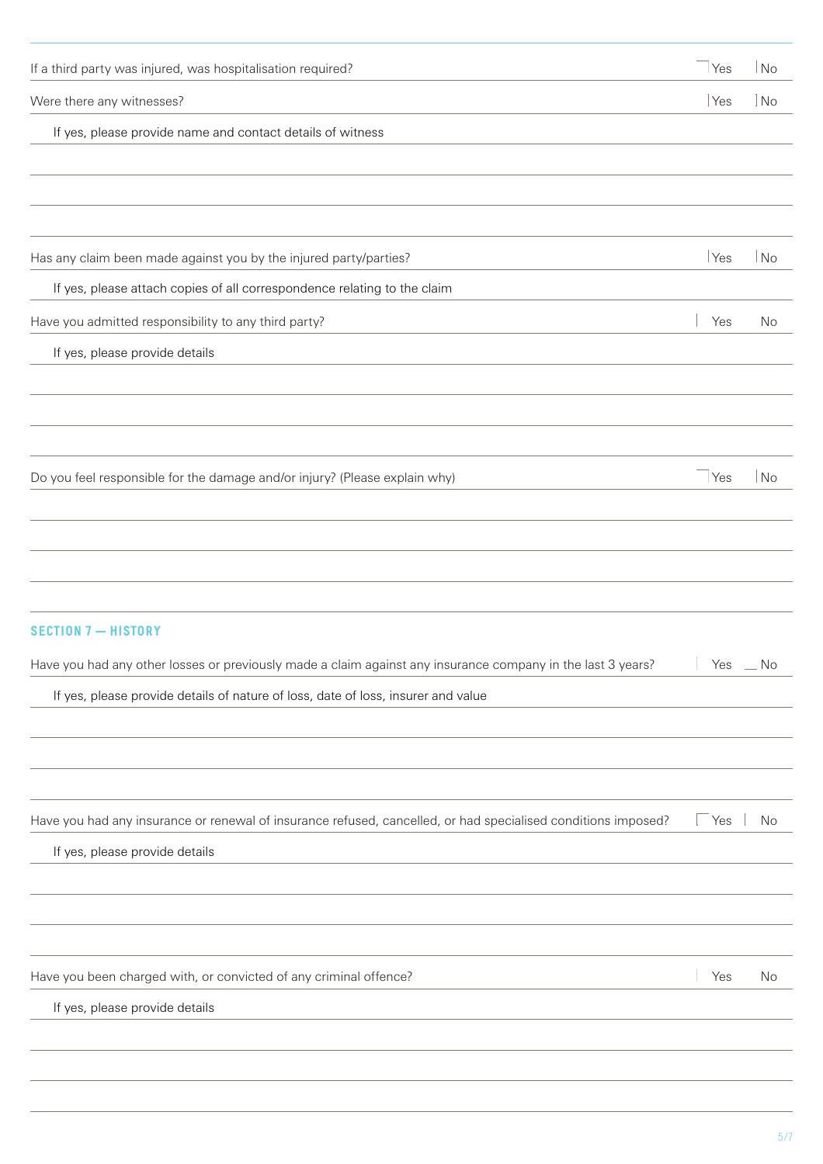| If yes, please provide details                                                                                                          |                     |                       |
|-----------------------------------------------------------------------------------------------------------------------------------------|---------------------|-----------------------|
| Have you been charged with, or convicted of any criminal offence?                                                                       | Yes                 | No                    |
|                                                                                                                                         |                     |                       |
|                                                                                                                                         |                     |                       |
| If yes, please provide details                                                                                                          |                     |                       |
| Have you had any insurance or renewal of insurance refused, cancelled, or had specialised conditions imposed?                           | $\sqrt{1 + 1}$      | No                    |
|                                                                                                                                         |                     |                       |
|                                                                                                                                         |                     |                       |
| If yes, please provide details of nature of loss, date of loss, insurer and value                                                       |                     |                       |
| <b>SECTION 7-HISTORY</b><br>Have you had any other losses or previously made a claim against any insurance company in the last 3 years? | $\mathbb{R}$<br>Yes | No                    |
|                                                                                                                                         |                     |                       |
|                                                                                                                                         |                     |                       |
| Do you feel responsible for the damage and/or injury? (Please explain why)                                                              | Yes                 | No                    |
|                                                                                                                                         |                     |                       |
|                                                                                                                                         |                     |                       |
| If yes, please provide details                                                                                                          |                     |                       |
| Have you admitted responsibility to any third party?                                                                                    | Yes                 | No                    |
| If yes, please attach copies of all correspondence relating to the claim                                                                |                     |                       |
| Has any claim been made against you by the injured party/parties?                                                                       | Yes                 | $\overline{\big }$ No |
|                                                                                                                                         |                     |                       |
| If yes, please provide name and contact details of witness                                                                              |                     |                       |
| Were there any witnesses?                                                                                                               | Yes                 | $\log$                |
| If a third party was injured, was hospitalisation required?                                                                             | Yes                 | No                    |
|                                                                                                                                         |                     |                       |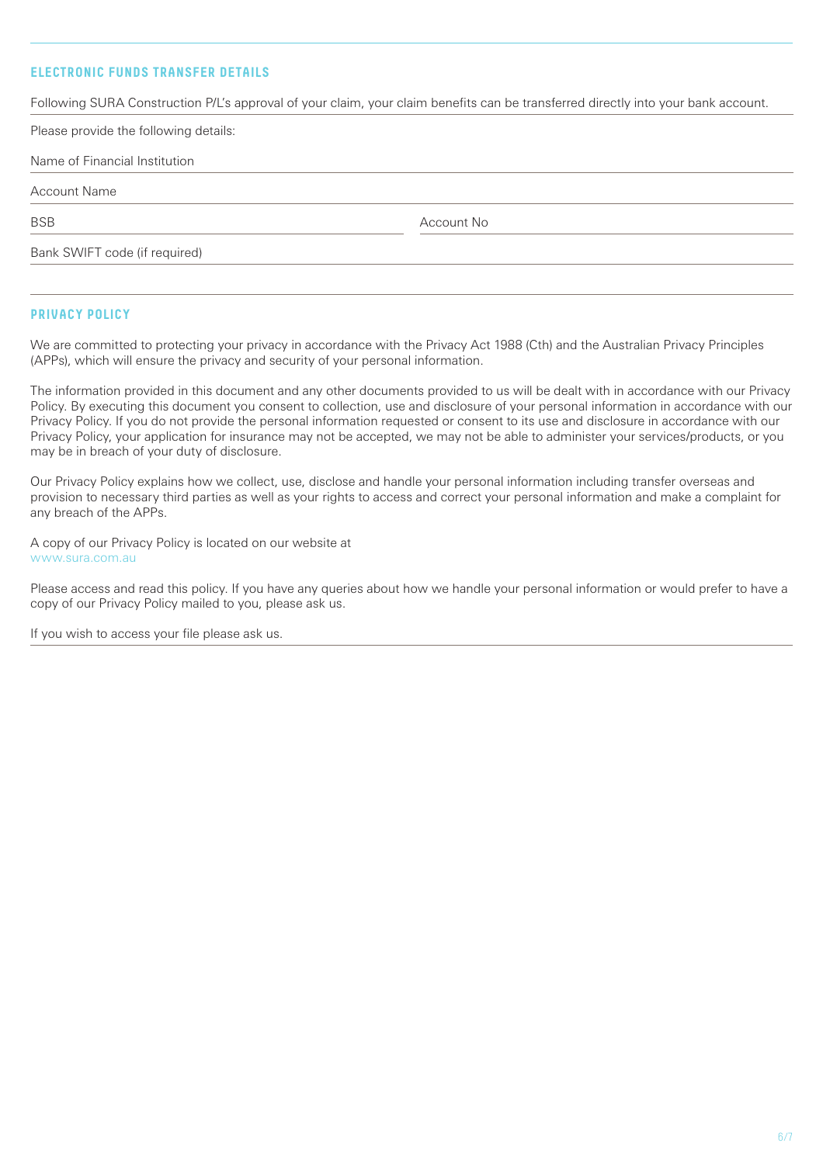# **ELECTRONIC FUNDS TRANSFER DETAILS**

Following SURA Construction P/L's approval of your claim, your claim benefits can be transferred directly into your bank account.

| Please provide the following details: |            |  |
|---------------------------------------|------------|--|
| Name of Financial Institution         |            |  |
| <b>Account Name</b>                   |            |  |
| <b>BSB</b>                            | Account No |  |
| Bank SWIFT code (if required)         |            |  |
|                                       |            |  |
|                                       |            |  |

## **PRIVACY POLICY**

We are committed to protecting your privacy in accordance with the Privacy Act 1988 (Cth) and the Australian Privacy Principles (APPs), which will ensure the privacy and security of your personal information.

The information provided in this document and any other documents provided to us will be dealt with in accordance with our Privacy Policy. By executing this document you consent to collection, use and disclosure of your personal information in accordance with our Privacy Policy. If you do not provide the personal information requested or consent to its use and disclosure in accordance with our Privacy Policy, your application for insurance may not be accepted, we may not be able to administer your services/products, or you may be in breach of your duty of disclosure.

Our Privacy Policy explains how we collect, use, disclose and handle your personal information including transfer overseas and provision to necessary third parties as well as your rights to access and correct your personal information and make a complaint for any breach of the APPs.

A copy of our Privacy Policy is located on our website at www.sura.com.au

Please access and read this policy. If you have any queries about how we handle your personal information or would prefer to have a copy of our Privacy Policy mailed to you, please ask us.

If you wish to access your file please ask us.